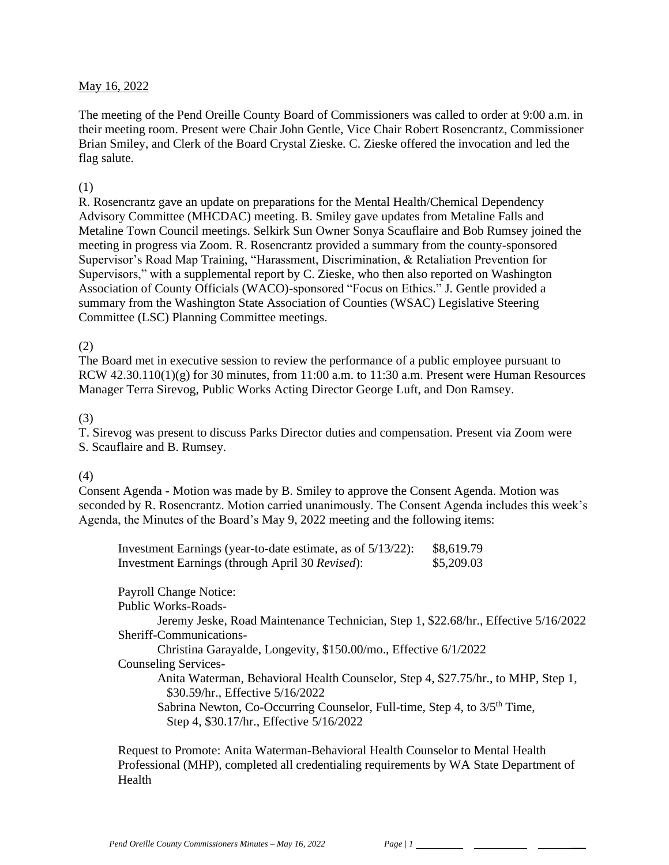#### May 16, 2022

The meeting of the Pend Oreille County Board of Commissioners was called to order at 9:00 a.m. in their meeting room. Present were Chair John Gentle, Vice Chair Robert Rosencrantz, Commissioner Brian Smiley, and Clerk of the Board Crystal Zieske. C. Zieske offered the invocation and led the flag salute.

#### (1)

R. Rosencrantz gave an update on preparations for the Mental Health/Chemical Dependency Advisory Committee (MHCDAC) meeting. B. Smiley gave updates from Metaline Falls and Metaline Town Council meetings. Selkirk Sun Owner Sonya Scauflaire and Bob Rumsey joined the meeting in progress via Zoom. R. Rosencrantz provided a summary from the county-sponsored Supervisor's Road Map Training, "Harassment, Discrimination, & Retaliation Prevention for Supervisors," with a supplemental report by C. Zieske, who then also reported on Washington Association of County Officials (WACO)-sponsored "Focus on Ethics." J. Gentle provided a summary from the Washington State Association of Counties (WSAC) Legislative Steering Committee (LSC) Planning Committee meetings.

#### (2)

The Board met in executive session to review the performance of a public employee pursuant to RCW  $42.30.110(1)(g)$  for 30 minutes, from 11:00 a.m. to 11:30 a.m. Present were Human Resources Manager Terra Sirevog, Public Works Acting Director George Luft, and Don Ramsey.

#### (3)

T. Sirevog was present to discuss Parks Director duties and compensation. Present via Zoom were S. Scauflaire and B. Rumsey.

#### (4)

Consent Agenda - Motion was made by B. Smiley to approve the Consent Agenda. Motion was seconded by R. Rosencrantz. Motion carried unanimously. The Consent Agenda includes this week's Agenda, the Minutes of the Board's May 9, 2022 meeting and the following items:

| Investment Earnings (year-to-date estimate, as of 5/13/22): | \$8,619.79 |
|-------------------------------------------------------------|------------|
| Investment Earnings (through April 30 Revised):             | \$5,209.03 |

Payroll Change Notice: Public Works-Roads-Jeremy Jeske, Road Maintenance Technician, Step 1, \$22.68/hr., Effective 5/16/2022 Sheriff-Communications-Christina Garayalde, Longevity, \$150.00/mo., Effective 6/1/2022 Counseling Services-Anita Waterman, Behavioral Health Counselor, Step 4, \$27.75/hr., to MHP, Step 1, \$30.59/hr., Effective 5/16/2022 Sabrina Newton, Co-Occurring Counselor, Full-time, Step 4, to  $3/5<sup>th</sup>$  Time, Step 4, \$30.17/hr., Effective 5/16/2022

Request to Promote: Anita Waterman-Behavioral Health Counselor to Mental Health Professional (MHP), completed all credentialing requirements by WA State Department of Health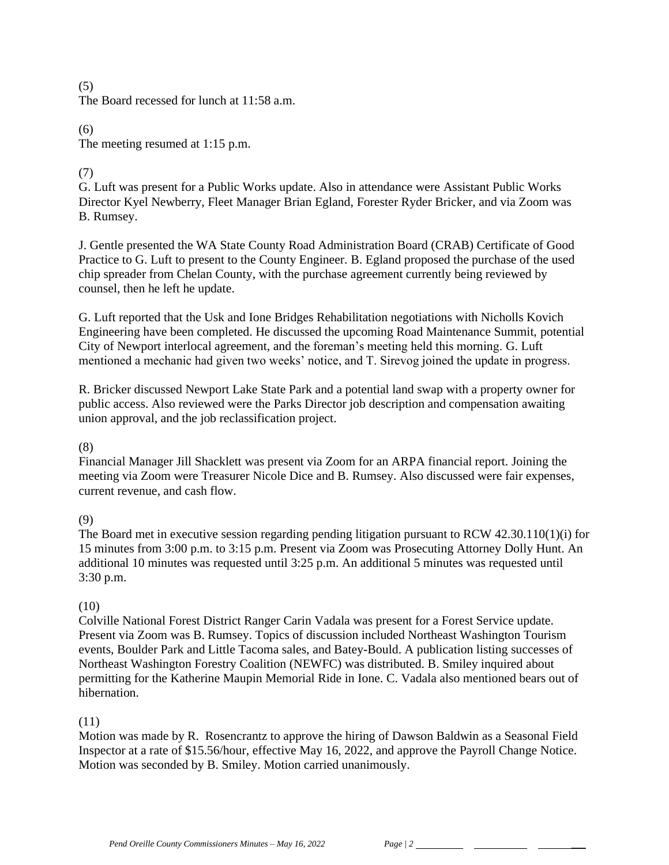# (5) The Board recessed for lunch at 11:58 a.m.

(6) The meeting resumed at 1:15 p.m.

# (7)

G. Luft was present for a Public Works update. Also in attendance were Assistant Public Works Director Kyel Newberry, Fleet Manager Brian Egland, Forester Ryder Bricker, and via Zoom was B. Rumsey.

J. Gentle presented the WA State County Road Administration Board (CRAB) Certificate of Good Practice to G. Luft to present to the County Engineer. B. Egland proposed the purchase of the used chip spreader from Chelan County, with the purchase agreement currently being reviewed by counsel, then he left he update.

G. Luft reported that the Usk and Ione Bridges Rehabilitation negotiations with Nicholls Kovich Engineering have been completed. He discussed the upcoming Road Maintenance Summit, potential City of Newport interlocal agreement, and the foreman's meeting held this morning. G. Luft mentioned a mechanic had given two weeks' notice, and T. Sirevog joined the update in progress.

R. Bricker discussed Newport Lake State Park and a potential land swap with a property owner for public access. Also reviewed were the Parks Director job description and compensation awaiting union approval, and the job reclassification project.

# (8)

Financial Manager Jill Shacklett was present via Zoom for an ARPA financial report. Joining the meeting via Zoom were Treasurer Nicole Dice and B. Rumsey. Also discussed were fair expenses, current revenue, and cash flow.

(9)

The Board met in executive session regarding pending litigation pursuant to RCW 42.30.110(1)(i) for 15 minutes from 3:00 p.m. to 3:15 p.m. Present via Zoom was Prosecuting Attorney Dolly Hunt. An additional 10 minutes was requested until 3:25 p.m. An additional 5 minutes was requested until 3:30 p.m.

# (10)

Colville National Forest District Ranger Carin Vadala was present for a Forest Service update. Present via Zoom was B. Rumsey. Topics of discussion included Northeast Washington Tourism events, Boulder Park and Little Tacoma sales, and Batey-Bould. A publication listing successes of Northeast Washington Forestry Coalition (NEWFC) was distributed. B. Smiley inquired about permitting for the Katherine Maupin Memorial Ride in Ione. C. Vadala also mentioned bears out of hibernation.

# (11)

Motion was made by R. Rosencrantz to approve the hiring of Dawson Baldwin as a Seasonal Field Inspector at a rate of \$15.56/hour, effective May 16, 2022, and approve the Payroll Change Notice. Motion was seconded by B. Smiley. Motion carried unanimously.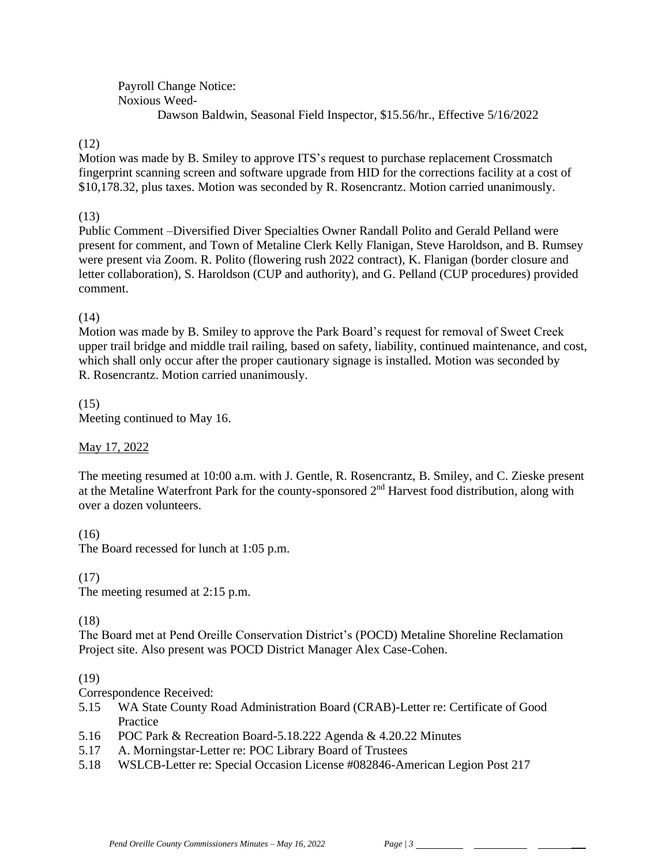Payroll Change Notice: Noxious Weed-Dawson Baldwin, Seasonal Field Inspector, \$15.56/hr., Effective 5/16/2022

## (12)

Motion was made by B. Smiley to approve ITS's request to purchase replacement Crossmatch fingerprint scanning screen and software upgrade from HID for the corrections facility at a cost of \$10,178.32, plus taxes. Motion was seconded by R. Rosencrantz. Motion carried unanimously.

## (13)

Public Comment –Diversified Diver Specialties Owner Randall Polito and Gerald Pelland were present for comment, and Town of Metaline Clerk Kelly Flanigan, Steve Haroldson, and B. Rumsey were present via Zoom. R. Polito (flowering rush 2022 contract), K. Flanigan (border closure and letter collaboration), S. Haroldson (CUP and authority), and G. Pelland (CUP procedures) provided comment.

## $(14)$

Motion was made by B. Smiley to approve the Park Board's request for removal of Sweet Creek upper trail bridge and middle trail railing, based on safety, liability, continued maintenance, and cost, which shall only occur after the proper cautionary signage is installed. Motion was seconded by R. Rosencrantz. Motion carried unanimously.

## (15)

Meeting continued to May 16.

## May 17, 2022

The meeting resumed at 10:00 a.m. with J. Gentle, R. Rosencrantz, B. Smiley, and C. Zieske present at the Metaline Waterfront Park for the county-sponsored 2nd Harvest food distribution, along with over a dozen volunteers.

## (16)

The Board recessed for lunch at 1:05 p.m.

## (17)

The meeting resumed at 2:15 p.m.

## (18)

The Board met at Pend Oreille Conservation District's (POCD) Metaline Shoreline Reclamation Project site. Also present was POCD District Manager Alex Case-Cohen.

## (19)

Correspondence Received:

- 5.15 WA State County Road Administration Board (CRAB)-Letter re: Certificate of Good Practice
- 5.16 POC Park & Recreation Board-5.18.222 Agenda & 4.20.22 Minutes
- 5.17 A. Morningstar-Letter re: POC Library Board of Trustees
- 5.18 WSLCB-Letter re: Special Occasion License #082846-American Legion Post 217